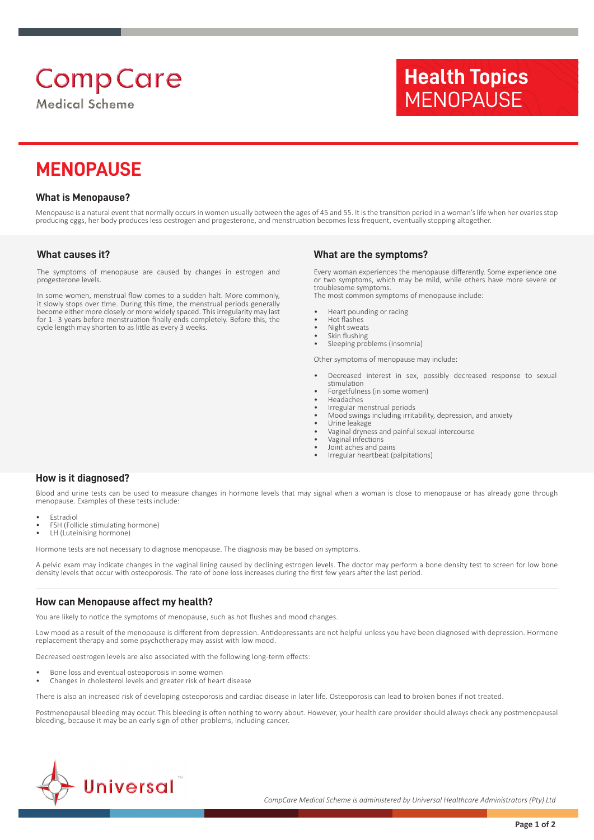# **Comp Care**

**Medical Scheme** 

# **Health Topics MENOPAUSE**

## **MENOPAUSE**

#### **What is Menopause?**

Menopause is a natural event that normally occurs in women usually between the ages of 45 and 55. It is the transition period in a woman's life when her ovaries stop producing eggs, her body produces less oestrogen and progesterone, and menstruation becomes less frequent, eventually stopping altogether.

#### **What causes it?**

The symptoms of menopause are caused by changes in estrogen and progesterone levels.

In some women, menstrual flow comes to a sudden halt. More commonly, it slowly stops over time. During this time, the menstrual periods generally become either more closely or more widely spaced. This irregularity may last for 1- 3 years before menstruation finally ends completely. Before this, the cycle length may shorten to as little as every 3 weeks.

#### **What are the symptoms?**

Every woman experiences the menopause differently. Some experience one or two symptoms, which may be mild, while others have more severe or troublesome symptoms. The most common symptoms of menopause include:

- Heart pounding or racing
- Hot flashes
- Night sweats
- Skin flushing<br>• Sleeping pro Sleeping problems (insomnia)

Other symptoms of menopause may include:

- Decreased interest in sex, possibly decreased response to sexual stimulation
- Forgetfulness (in some women)
- **Headaches** • Irregular menstrual periods
- Mood swings including irritability, depression, and anxiety
- Urine leakage
- Vaginal dryness and painful sexual intercourse
- Vaginal infections
- Joint aches and pains
- Irregular heartbeat (palpitations)

#### **How is it diagnosed?**

Blood and urine tests can be used to measure changes in hormone levels that may signal when a woman is close to menopause or has already gone through menopause. Examples of these tests include:

- **Estradiol**
- FSH (Follicle stimulating hormone)
- LH (Luteinising hormone)

Hormone tests are not necessary to diagnose menopause. The diagnosis may be based on symptoms.

A pelvic exam may indicate changes in the vaginal lining caused by declining estrogen levels. The doctor may perform a bone density test to screen for low bone density levels that occur with osteoporosis. The rate of bone loss increases during the first few years after the last period.

#### **How can Menopause affect my health?**

You are likely to notice the symptoms of menopause, such as hot flushes and mood changes.

Low mood as a result of the menopause is different from depression. Antidepressants are not helpful unless you have been diagnosed with depression. Hormone replacement therapy and some psychotherapy may assist with low mood.

Decreased oestrogen levels are also associated with the following long-term effects:

- Bone loss and eventual osteoporosis in some women
- Changes in cholesterol levels and greater risk of heart disease

There is also an increased risk of developing osteoporosis and cardiac disease in later life. Osteoporosis can lead to broken bones if not treated.

Postmenopausal bleeding may occur. This bleeding is often nothing to worry about. However, your health care provider should always check any postmenopausal bleeding, because it may be an early sign of other problems, including cancer.